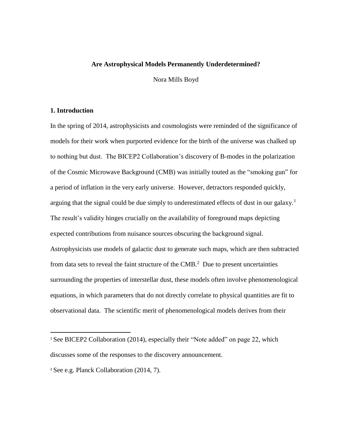## **Are Astrophysical Models Permanently Underdetermined?**

Nora Mills Boyd

### **1. Introduction**

In the spring of 2014, astrophysicists and cosmologists were reminded of the significance of models for their work when purported evidence for the birth of the universe was chalked up to nothing but dust. The BICEP2 Collaboration's discovery of B-modes in the polarization of the Cosmic Microwave Background (CMB) was initially touted as the "smoking gun" for a period of inflation in the very early universe. However, detractors responded quickly, arguing that the signal could be due simply to underestimated effects of dust in our galaxy.<sup>1</sup> The result's validity hinges crucially on the availability of foreground maps depicting expected contributions from nuisance sources obscuring the background signal. Astrophysicists use models of galactic dust to generate such maps, which are then subtracted from data sets to reveal the faint structure of the  $CMB<sup>2</sup>$  Due to present uncertainties surrounding the properties of interstellar dust, these models often involve phenomenological equations, in which parameters that do not directly correlate to physical quantities are fit to observational data. The scientific merit of phenomenological models derives from their

 $\overline{a}$ 

<sup>&</sup>lt;sup>1</sup> See BICEP2 Collaboration (2014), especially their "Note added" on page 22, which discusses some of the responses to the discovery announcement.

<sup>2</sup> See e.g. Planck Collaboration (2014, 7).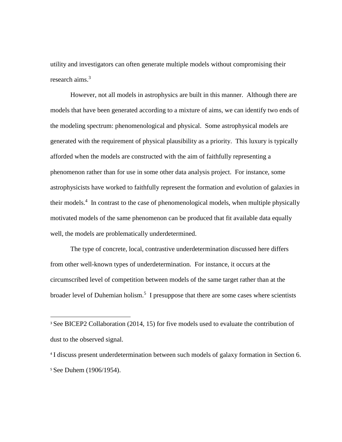utility and investigators can often generate multiple models without compromising their research aims.<sup>3</sup>

However, not all models in astrophysics are built in this manner. Although there are models that have been generated according to a mixture of aims, we can identify two ends of the modeling spectrum: phenomenological and physical. Some astrophysical models are generated with the requirement of physical plausibility as a priority. This luxury is typically afforded when the models are constructed with the aim of faithfully representing a phenomenon rather than for use in some other data analysis project. For instance, some astrophysicists have worked to faithfully represent the formation and evolution of galaxies in their models.<sup>4</sup> In contrast to the case of phenomenological models, when multiple physically motivated models of the same phenomenon can be produced that fit available data equally well, the models are problematically underdetermined.

The type of concrete, local, contrastive underdetermination discussed here differs from other well-known types of underdetermination. For instance, it occurs at the circumscribed level of competition between models of the same target rather than at the broader level of Duhemian holism.<sup>5</sup> I presuppose that there are some cases where scientists

 $\overline{a}$ 

<sup>&</sup>lt;sup>3</sup> See BICEP2 Collaboration (2014, 15) for five models used to evaluate the contribution of dust to the observed signal.

<sup>4</sup> I discuss present underdetermination between such models of galaxy formation in Section 6. <sup>5</sup> See Duhem (1906/1954).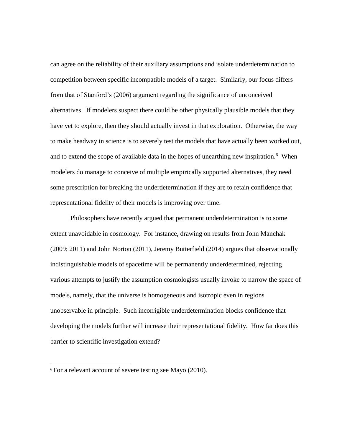can agree on the reliability of their auxiliary assumptions and isolate underdetermination to competition between specific incompatible models of a target. Similarly, our focus differs from that of Stanford's (2006) argument regarding the significance of unconceived alternatives. If modelers suspect there could be other physically plausible models that they have yet to explore, then they should actually invest in that exploration. Otherwise, the way to make headway in science is to severely test the models that have actually been worked out, and to extend the scope of available data in the hopes of unearthing new inspiration. $6$  When modelers do manage to conceive of multiple empirically supported alternatives, they need some prescription for breaking the underdetermination if they are to retain confidence that representational fidelity of their models is improving over time.

Philosophers have recently argued that permanent underdetermination is to some extent unavoidable in cosmology. For instance, drawing on results from John Manchak (2009; 2011) and John Norton (2011), Jeremy Butterfield (2014) argues that observationally indistinguishable models of spacetime will be permanently underdetermined, rejecting various attempts to justify the assumption cosmologists usually invoke to narrow the space of models, namely, that the universe is homogeneous and isotropic even in regions unobservable in principle. Such incorrigible underdetermination blocks confidence that developing the models further will increase their representational fidelity. How far does this barrier to scientific investigation extend?

l

<sup>6</sup> For a relevant account of severe testing see Mayo (2010).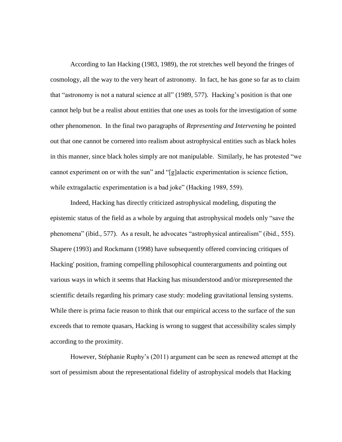According to Ian Hacking (1983, 1989), the rot stretches well beyond the fringes of cosmology, all the way to the very heart of astronomy. In fact, he has gone so far as to claim that "astronomy is not a natural science at all" (1989, 577). Hacking's position is that one cannot help but be a realist about entities that one uses as tools for the investigation of some other phenomenon. In the final two paragraphs of *Representing and Intervening* he pointed out that one cannot be cornered into realism about astrophysical entities such as black holes in this manner, since black holes simply are not manipulable. Similarly, he has protested "we cannot experiment on or with the sun" and "[g]alactic experimentation is science fiction, while extragalactic experimentation is a bad joke" (Hacking 1989, 559).

Indeed, Hacking has directly criticized astrophysical modeling, disputing the epistemic status of the field as a whole by arguing that astrophysical models only "save the phenomena" (ibid., 577). As a result, he advocates "astrophysical antirealism" (ibid., 555). Shapere (1993) and Rockmann (1998) have subsequently offered convincing critiques of Hacking' position, framing compelling philosophical counterarguments and pointing out various ways in which it seems that Hacking has misunderstood and/or misrepresented the scientific details regarding his primary case study: modeling gravitational lensing systems. While there is prima facie reason to think that our empirical access to the surface of the sun exceeds that to remote quasars, Hacking is wrong to suggest that accessibility scales simply according to the proximity.

However, Stéphanie Ruphy's (2011) argument can be seen as renewed attempt at the sort of pessimism about the representational fidelity of astrophysical models that Hacking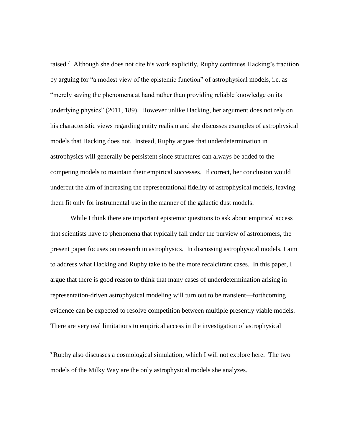raised.<sup>7</sup> Although she does not cite his work explicitly, Ruphy continues Hacking's tradition by arguing for "a modest view of the epistemic function" of astrophysical models, i.e. as "merely saving the phenomena at hand rather than providing reliable knowledge on its underlying physics" (2011, 189). However unlike Hacking, her argument does not rely on his characteristic views regarding entity realism and she discusses examples of astrophysical models that Hacking does not. Instead, Ruphy argues that underdetermination in astrophysics will generally be persistent since structures can always be added to the competing models to maintain their empirical successes. If correct, her conclusion would undercut the aim of increasing the representational fidelity of astrophysical models, leaving them fit only for instrumental use in the manner of the galactic dust models.

While I think there are important epistemic questions to ask about empirical access that scientists have to phenomena that typically fall under the purview of astronomers, the present paper focuses on research in astrophysics. In discussing astrophysical models, I aim to address what Hacking and Ruphy take to be the more recalcitrant cases. In this paper, I argue that there is good reason to think that many cases of underdetermination arising in representation-driven astrophysical modeling will turn out to be transient—forthcoming evidence can be expected to resolve competition between multiple presently viable models. There are very real limitations to empirical access in the investigation of astrophysical

 $\overline{\phantom{a}}$ 

<sup>7</sup> Ruphy also discusses a cosmological simulation, which I will not explore here. The two models of the Milky Way are the only astrophysical models she analyzes.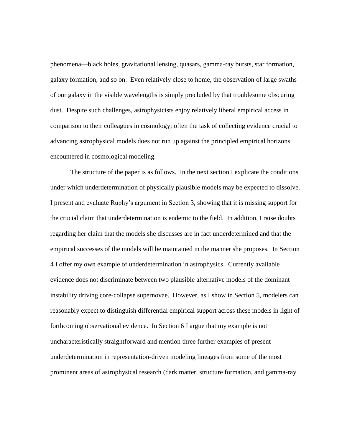phenomena—black holes, gravitational lensing, quasars, gamma-ray bursts, star formation, galaxy formation, and so on. Even relatively close to home, the observation of large swaths of our galaxy in the visible wavelengths is simply precluded by that troublesome obscuring dust. Despite such challenges, astrophysicists enjoy relatively liberal empirical access in comparison to their colleagues in cosmology; often the task of collecting evidence crucial to advancing astrophysical models does not run up against the principled empirical horizons encountered in cosmological modeling.

The structure of the paper is as follows. In the next section I explicate the conditions under which underdetermination of physically plausible models may be expected to dissolve. I present and evaluate Ruphy's argument in Section 3, showing that it is missing support for the crucial claim that underdetermination is endemic to the field. In addition, I raise doubts regarding her claim that the models she discusses are in fact underdetermined and that the empirical successes of the models will be maintained in the manner she proposes. In Section 4 I offer my own example of underdetermination in astrophysics. Currently available evidence does not discriminate between two plausible alternative models of the dominant instability driving core-collapse supernovae. However, as I show in Section 5, modelers can reasonably expect to distinguish differential empirical support across these models in light of forthcoming observational evidence. In Section 6 I argue that my example is not uncharacteristically straightforward and mention three further examples of present underdetermination in representation-driven modeling lineages from some of the most prominent areas of astrophysical research (dark matter, structure formation, and gamma-ray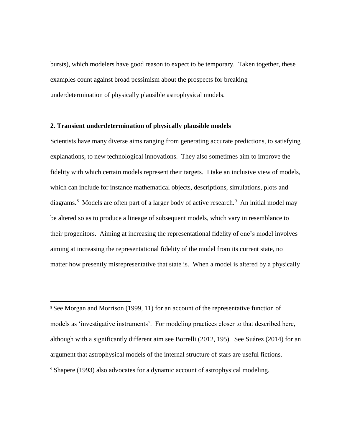bursts), which modelers have good reason to expect to be temporary. Taken together, these examples count against broad pessimism about the prospects for breaking underdetermination of physically plausible astrophysical models.

# **2. Transient underdetermination of physically plausible models**

 $\overline{\phantom{a}}$ 

Scientists have many diverse aims ranging from generating accurate predictions, to satisfying explanations, to new technological innovations. They also sometimes aim to improve the fidelity with which certain models represent their targets. I take an inclusive view of models, which can include for instance mathematical objects, descriptions, simulations, plots and diagrams.<sup>8</sup> Models are often part of a larger body of active research.<sup>9</sup> An initial model may be altered so as to produce a lineage of subsequent models, which vary in resemblance to their progenitors. Aiming at increasing the representational fidelity of one's model involves aiming at increasing the representational fidelity of the model from its current state, no matter how presently misrepresentative that state is. When a model is altered by a physically

<sup>8</sup> See Morgan and Morrison (1999, 11) for an account of the representative function of models as 'investigative instruments'. For modeling practices closer to that described here, although with a significantly different aim see Borrelli (2012, 195). See Suárez (2014) for an argument that astrophysical models of the internal structure of stars are useful fictions. <sup>9</sup> Shapere (1993) also advocates for a dynamic account of astrophysical modeling.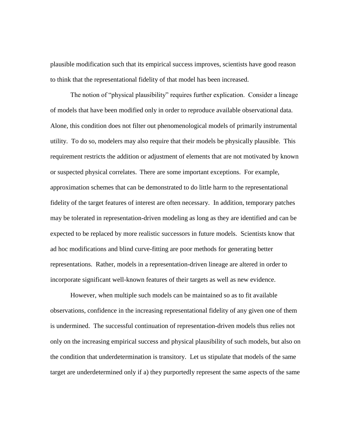plausible modification such that its empirical success improves, scientists have good reason to think that the representational fidelity of that model has been increased.

The notion of "physical plausibility" requires further explication. Consider a lineage of models that have been modified only in order to reproduce available observational data. Alone, this condition does not filter out phenomenological models of primarily instrumental utility. To do so, modelers may also require that their models be physically plausible. This requirement restricts the addition or adjustment of elements that are not motivated by known or suspected physical correlates. There are some important exceptions. For example, approximation schemes that can be demonstrated to do little harm to the representational fidelity of the target features of interest are often necessary. In addition, temporary patches may be tolerated in representation-driven modeling as long as they are identified and can be expected to be replaced by more realistic successors in future models. Scientists know that ad hoc modifications and blind curve-fitting are poor methods for generating better representations. Rather, models in a representation-driven lineage are altered in order to incorporate significant well-known features of their targets as well as new evidence.

However, when multiple such models can be maintained so as to fit available observations, confidence in the increasing representational fidelity of any given one of them is undermined. The successful continuation of representation-driven models thus relies not only on the increasing empirical success and physical plausibility of such models, but also on the condition that underdetermination is transitory. Let us stipulate that models of the same target are underdetermined only if a) they purportedly represent the same aspects of the same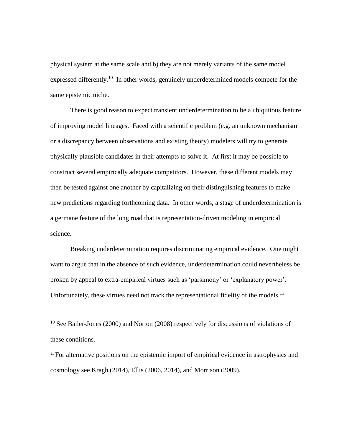physical system at the same scale and b) they are not merely variants of the same model expressed differently.<sup>10</sup> In other words, genuinely underdetermined models compete for the same epistemic niche.

There is good reason to expect transient underdetermination to be a ubiquitous feature of improving model lineages. Faced with a scientific problem (e.g. an unknown mechanism or a discrepancy between observations and existing theory) modelers will try to generate physically plausible candidates in their attempts to solve it. At first it may be possible to construct several empirically adequate competitors. However, these different models may then be tested against one another by capitalizing on their distinguishing features to make new predictions regarding forthcoming data. In other words, a stage of underdetermination is a germane feature of the long road that is representation-driven modeling in empirical science.

Breaking underdetermination requires discriminating empirical evidence. One might want to argue that in the absence of such evidence, underdetermination could nevertheless be broken by appeal to extra-empirical virtues such as 'parsimony' or 'explanatory power'. Unfortunately, these virtues need not track the representational fidelity of the models.<sup>11</sup>

 $\overline{\phantom{a}}$ 

<sup>11</sup> For alternative positions on the epistemic import of empirical evidence in astrophysics and cosmology see Kragh (2014), Ellis (2006, 2014), and Morrison (2009).

<sup>&</sup>lt;sup>10</sup> See Bailer-Jones (2000) and Norton (2008) respectively for discussions of violations of these conditions.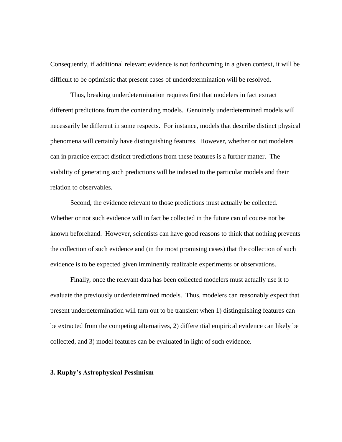Consequently, if additional relevant evidence is not forthcoming in a given context, it will be difficult to be optimistic that present cases of underdetermination will be resolved.

Thus, breaking underdetermination requires first that modelers in fact extract different predictions from the contending models. Genuinely underdetermined models will necessarily be different in some respects. For instance, models that describe distinct physical phenomena will certainly have distinguishing features. However, whether or not modelers can in practice extract distinct predictions from these features is a further matter. The viability of generating such predictions will be indexed to the particular models and their relation to observables.

Second, the evidence relevant to those predictions must actually be collected. Whether or not such evidence will in fact be collected in the future can of course not be known beforehand. However, scientists can have good reasons to think that nothing prevents the collection of such evidence and (in the most promising cases) that the collection of such evidence is to be expected given imminently realizable experiments or observations.

Finally, once the relevant data has been collected modelers must actually use it to evaluate the previously underdetermined models. Thus, modelers can reasonably expect that present underdetermination will turn out to be transient when 1) distinguishing features can be extracted from the competing alternatives, 2) differential empirical evidence can likely be collected, and 3) model features can be evaluated in light of such evidence.

### **3. Ruphy's Astrophysical Pessimism**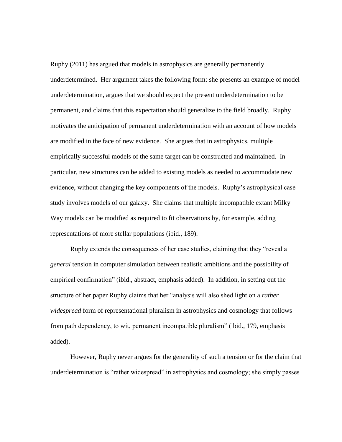Ruphy (2011) has argued that models in astrophysics are generally permanently underdetermined. Her argument takes the following form: she presents an example of model underdetermination, argues that we should expect the present underdetermination to be permanent, and claims that this expectation should generalize to the field broadly. Ruphy motivates the anticipation of permanent underdetermination with an account of how models are modified in the face of new evidence. She argues that in astrophysics, multiple empirically successful models of the same target can be constructed and maintained. In particular, new structures can be added to existing models as needed to accommodate new evidence, without changing the key components of the models. Ruphy's astrophysical case study involves models of our galaxy. She claims that multiple incompatible extant Milky Way models can be modified as required to fit observations by, for example, adding representations of more stellar populations (ibid., 189).

Ruphy extends the consequences of her case studies, claiming that they "reveal a *general* tension in computer simulation between realistic ambitions and the possibility of empirical confirmation" (ibid., abstract, emphasis added). In addition, in setting out the structure of her paper Ruphy claims that her "analysis will also shed light on a *rather widespread* form of representational pluralism in astrophysics and cosmology that follows from path dependency, to wit, permanent incompatible pluralism" (ibid., 179, emphasis added).

However, Ruphy never argues for the generality of such a tension or for the claim that underdetermination is "rather widespread" in astrophysics and cosmology; she simply passes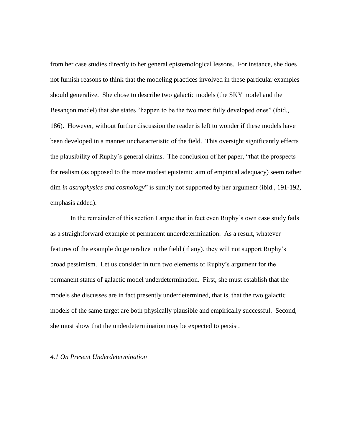from her case studies directly to her general epistemological lessons. For instance, she does not furnish reasons to think that the modeling practices involved in these particular examples should generalize. She chose to describe two galactic models (the SKY model and the Besançon model) that she states "happen to be the two most fully developed ones" (ibid., 186). However, without further discussion the reader is left to wonder if these models have been developed in a manner uncharacteristic of the field. This oversight significantly effects the plausibility of Ruphy's general claims. The conclusion of her paper, "that the prospects for realism (as opposed to the more modest epistemic aim of empirical adequacy) seem rather dim *in astrophysics and cosmology*" is simply not supported by her argument (ibid., 191-192, emphasis added).

In the remainder of this section I argue that in fact even Ruphy's own case study fails as a straightforward example of permanent underdetermination. As a result, whatever features of the example do generalize in the field (if any), they will not support Ruphy's broad pessimism. Let us consider in turn two elements of Ruphy's argument for the permanent status of galactic model underdetermination. First, she must establish that the models she discusses are in fact presently underdetermined, that is, that the two galactic models of the same target are both physically plausible and empirically successful. Second, she must show that the underdetermination may be expected to persist.

## *4.1 On Present Underdetermination*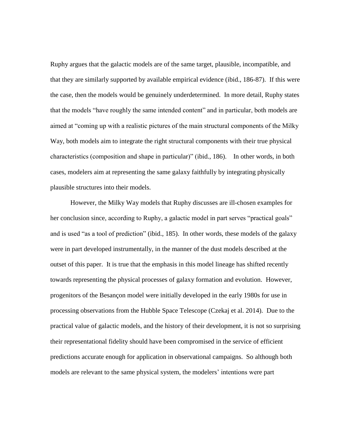Ruphy argues that the galactic models are of the same target, plausible, incompatible, and that they are similarly supported by available empirical evidence (ibid., 186-87). If this were the case, then the models would be genuinely underdetermined. In more detail, Ruphy states that the models "have roughly the same intended content" and in particular, both models are aimed at "coming up with a realistic pictures of the main structural components of the Milky Way, both models aim to integrate the right structural components with their true physical characteristics (composition and shape in particular)" (ibid., 186). In other words, in both cases, modelers aim at representing the same galaxy faithfully by integrating physically plausible structures into their models.

However, the Milky Way models that Ruphy discusses are ill-chosen examples for her conclusion since, according to Ruphy, a galactic model in part serves "practical goals" and is used "as a tool of prediction" (ibid., 185). In other words, these models of the galaxy were in part developed instrumentally, in the manner of the dust models described at the outset of this paper. It is true that the emphasis in this model lineage has shifted recently towards representing the physical processes of galaxy formation and evolution. However, progenitors of the Besançon model were initially developed in the early 1980s for use in processing observations from the Hubble Space Telescope (Czekaj et al. 2014). Due to the practical value of galactic models, and the history of their development, it is not so surprising their representational fidelity should have been compromised in the service of efficient predictions accurate enough for application in observational campaigns. So although both models are relevant to the same physical system, the modelers' intentions were part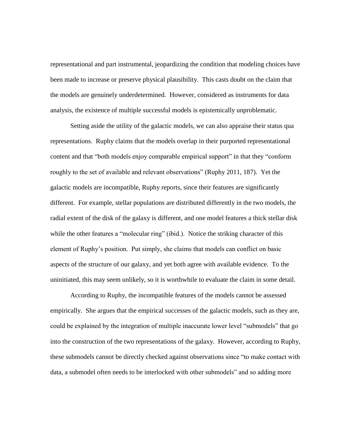representational and part instrumental, jeopardizing the condition that modeling choices have been made to increase or preserve physical plausibility. This casts doubt on the claim that the models are genuinely underdetermined. However, considered as instruments for data analysis, the existence of multiple successful models is epistemically unproblematic.

Setting aside the utility of the galactic models, we can also appraise their status qua representations. Ruphy claims that the models overlap in their purported representational content and that "both models enjoy comparable empirical support" in that they "conform roughly to the set of available and relevant observations" (Ruphy 2011, 187). Yet the galactic models are incompatible, Ruphy reports, since their features are significantly different. For example, stellar populations are distributed differently in the two models, the radial extent of the disk of the galaxy is different, and one model features a thick stellar disk while the other features a "molecular ring" (ibid.). Notice the striking character of this element of Ruphy's position. Put simply, she claims that models can conflict on basic aspects of the structure of our galaxy, and yet both agree with available evidence. To the uninitiated, this may seem unlikely, so it is worthwhile to evaluate the claim in some detail.

According to Ruphy, the incompatible features of the models cannot be assessed empirically. She argues that the empirical successes of the galactic models, such as they are, could be explained by the integration of multiple inaccurate lower level "submodels" that go into the construction of the two representations of the galaxy. However, according to Ruphy, these submodels cannot be directly checked against observations since "to make contact with data, a submodel often needs to be interlocked with other submodels" and so adding more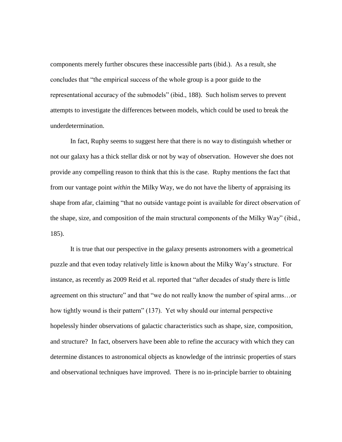components merely further obscures these inaccessible parts (ibid.). As a result, she concludes that "the empirical success of the whole group is a poor guide to the representational accuracy of the submodels" (ibid., 188). Such holism serves to prevent attempts to investigate the differences between models, which could be used to break the underdetermination.

In fact, Ruphy seems to suggest here that there is no way to distinguish whether or not our galaxy has a thick stellar disk or not by way of observation. However she does not provide any compelling reason to think that this is the case. Ruphy mentions the fact that from our vantage point *within* the Milky Way, we do not have the liberty of appraising its shape from afar, claiming "that no outside vantage point is available for direct observation of the shape, size, and composition of the main structural components of the Milky Way" (ibid., 185).

It is true that our perspective in the galaxy presents astronomers with a geometrical puzzle and that even today relatively little is known about the Milky Way's structure. For instance, as recently as 2009 Reid et al. reported that "after decades of study there is little agreement on this structure" and that "we do not really know the number of spiral arms…or how tightly wound is their pattern" (137). Yet why should our internal perspective hopelessly hinder observations of galactic characteristics such as shape, size, composition, and structure? In fact, observers have been able to refine the accuracy with which they can determine distances to astronomical objects as knowledge of the intrinsic properties of stars and observational techniques have improved. There is no in-principle barrier to obtaining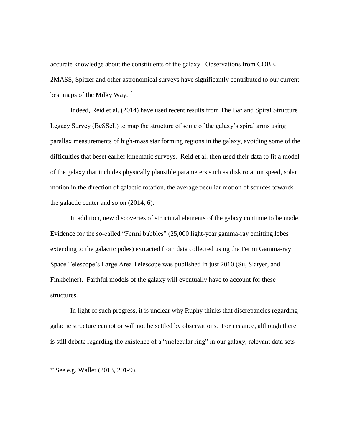accurate knowledge about the constituents of the galaxy. Observations from COBE, 2MASS, Spitzer and other astronomical surveys have significantly contributed to our current best maps of the Milky Way.<sup>12</sup>

Indeed, Reid et al. (2014) have used recent results from The Bar and Spiral Structure Legacy Survey (BeSSeL) to map the structure of some of the galaxy's spiral arms using parallax measurements of high-mass star forming regions in the galaxy, avoiding some of the difficulties that beset earlier kinematic surveys. Reid et al. then used their data to fit a model of the galaxy that includes physically plausible parameters such as disk rotation speed, solar motion in the direction of galactic rotation, the average peculiar motion of sources towards the galactic center and so on (2014, 6).

In addition, new discoveries of structural elements of the galaxy continue to be made. Evidence for the so-called "Fermi bubbles" (25,000 light-year gamma-ray emitting lobes extending to the galactic poles) extracted from data collected using the Fermi Gamma-ray Space Telescope's Large Area Telescope was published in just 2010 (Su, Slatyer, and Finkbeiner). Faithful models of the galaxy will eventually have to account for these structures.

In light of such progress, it is unclear why Ruphy thinks that discrepancies regarding galactic structure cannot or will not be settled by observations. For instance, although there is still debate regarding the existence of a "molecular ring" in our galaxy, relevant data sets

l

<sup>12</sup> See e.g. Waller (2013, 201-9).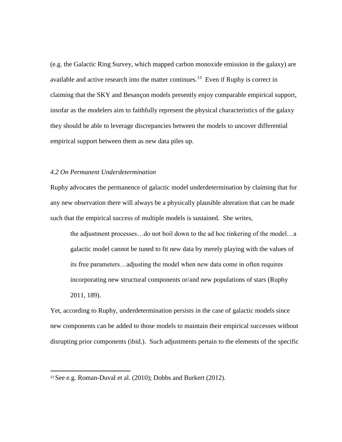(e.g. the Galactic Ring Survey, which mapped carbon monoxide emission in the galaxy) are available and active research into the matter continues.<sup>13</sup> Even if Ruphy is correct in claiming that the SKY and Besançon models presently enjoy comparable empirical support, insofar as the modelers aim to faithfully represent the physical characteristics of the galaxy they should be able to leverage discrepancies between the models to uncover differential empirical support between them as new data piles up.

## *4.2 On Permanent Underdetermination*

Ruphy advocates the permanence of galactic model underdetermination by claiming that for any new observation there will always be a physically plausible alteration that can be made such that the empirical success of multiple models is sustained. She writes,

the adjustment processes…do not boil down to the ad hoc tinkering of the model…a galactic model cannot be tuned to fit new data by merely playing with the values of its free parameters…adjusting the model when new data come in often requires incorporating new structural components or/and new populations of stars (Ruphy 2011, 189).

Yet, according to Ruphy, underdetermination persists in the case of galactic models since new components can be added to those models to maintain their empirical successes without disrupting prior components (ibid.). Such adjustments pertain to the elements of the specific

 $\overline{a}$ 

<sup>13</sup> See e.g. Roman-Duval et al. (2010); Dobbs and Burkert (2012).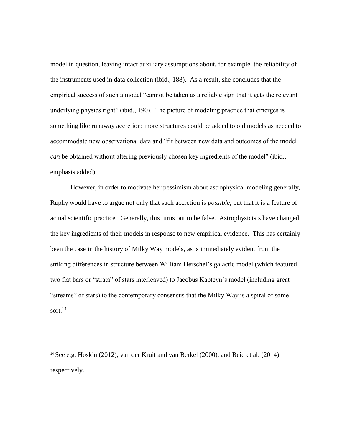model in question, leaving intact auxiliary assumptions about, for example, the reliability of the instruments used in data collection (ibid., 188). As a result, she concludes that the empirical success of such a model "cannot be taken as a reliable sign that it gets the relevant underlying physics right" (ibid., 190). The picture of modeling practice that emerges is something like runaway accretion: more structures could be added to old models as needed to accommodate new observational data and "fit between new data and outcomes of the model *can* be obtained without altering previously chosen key ingredients of the model" (ibid., emphasis added).

However, in order to motivate her pessimism about astrophysical modeling generally, Ruphy would have to argue not only that such accretion is *possible*, but that it is a feature of actual scientific practice. Generally, this turns out to be false. Astrophysicists have changed the key ingredients of their models in response to new empirical evidence. This has certainly been the case in the history of Milky Way models, as is immediately evident from the striking differences in structure between William Herschel's galactic model (which featured two flat bars or "strata" of stars interleaved) to Jacobus Kapteyn's model (including great "streams" of stars) to the contemporary consensus that the Milky Way is a spiral of some sort. $^{14}$ 

 $\overline{\phantom{a}}$ 

<sup>14</sup> See e.g. Hoskin (2012), van der Kruit and van Berkel (2000), and Reid et al. (2014) respectively.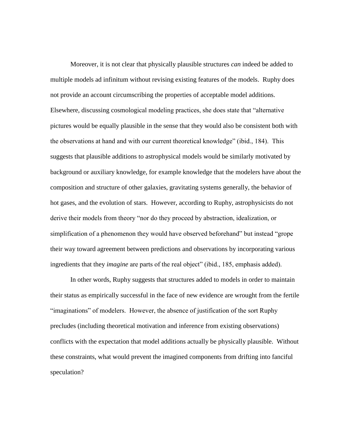Moreover, it is not clear that physically plausible structures *can* indeed be added to multiple models ad infinitum without revising existing features of the models. Ruphy does not provide an account circumscribing the properties of acceptable model additions. Elsewhere, discussing cosmological modeling practices, she does state that "alternative pictures would be equally plausible in the sense that they would also be consistent both with the observations at hand and with our current theoretical knowledge" (ibid., 184). This suggests that plausible additions to astrophysical models would be similarly motivated by background or auxiliary knowledge, for example knowledge that the modelers have about the composition and structure of other galaxies, gravitating systems generally, the behavior of hot gases, and the evolution of stars. However, according to Ruphy, astrophysicists do not derive their models from theory "nor do they proceed by abstraction, idealization, or simplification of a phenomenon they would have observed beforehand" but instead "grope their way toward agreement between predictions and observations by incorporating various ingredients that they *imagine* are parts of the real object" (ibid., 185, emphasis added).

In other words, Ruphy suggests that structures added to models in order to maintain their status as empirically successful in the face of new evidence are wrought from the fertile "imaginations" of modelers. However, the absence of justification of the sort Ruphy precludes (including theoretical motivation and inference from existing observations) conflicts with the expectation that model additions actually be physically plausible. Without these constraints, what would prevent the imagined components from drifting into fanciful speculation?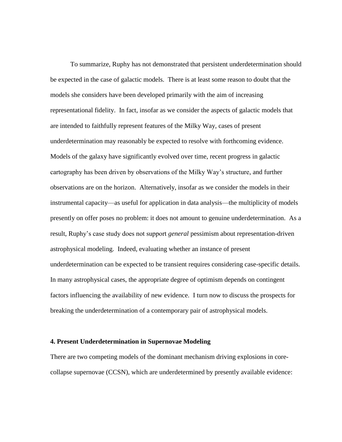To summarize, Ruphy has not demonstrated that persistent underdetermination should be expected in the case of galactic models. There is at least some reason to doubt that the models she considers have been developed primarily with the aim of increasing representational fidelity. In fact, insofar as we consider the aspects of galactic models that are intended to faithfully represent features of the Milky Way, cases of present underdetermination may reasonably be expected to resolve with forthcoming evidence. Models of the galaxy have significantly evolved over time, recent progress in galactic cartography has been driven by observations of the Milky Way's structure, and further observations are on the horizon. Alternatively, insofar as we consider the models in their instrumental capacity—as useful for application in data analysis—the multiplicity of models presently on offer poses no problem: it does not amount to genuine underdetermination. As a result, Ruphy's case study does not support *general* pessimism about representation-driven astrophysical modeling. Indeed, evaluating whether an instance of present underdetermination can be expected to be transient requires considering case-specific details. In many astrophysical cases, the appropriate degree of optimism depends on contingent factors influencing the availability of new evidence. I turn now to discuss the prospects for breaking the underdetermination of a contemporary pair of astrophysical models.

#### **4. Present Underdetermination in Supernovae Modeling**

There are two competing models of the dominant mechanism driving explosions in corecollapse supernovae (CCSN), which are underdetermined by presently available evidence: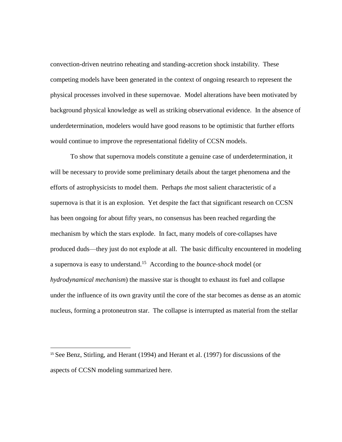convection-driven neutrino reheating and standing-accretion shock instability. These competing models have been generated in the context of ongoing research to represent the physical processes involved in these supernovae. Model alterations have been motivated by background physical knowledge as well as striking observational evidence. In the absence of underdetermination, modelers would have good reasons to be optimistic that further efforts would continue to improve the representational fidelity of CCSN models.

To show that supernova models constitute a genuine case of underdetermination, it will be necessary to provide some preliminary details about the target phenomena and the efforts of astrophysicists to model them. Perhaps *the* most salient characteristic of a supernova is that it is an explosion. Yet despite the fact that significant research on CCSN has been ongoing for about fifty years, no consensus has been reached regarding the mechanism by which the stars explode. In fact, many models of core-collapses have produced duds—they just do not explode at all.The basic difficulty encountered in modeling a supernova is easy to understand.<sup>15</sup> According to the *bounce-shock* model (or *hydrodynamical mechanism*) the massive star is thought to exhaust its fuel and collapse under the influence of its own gravity until the core of the star becomes as dense as an atomic nucleus, forming a protoneutron star. The collapse is interrupted as material from the stellar

 $\overline{\phantom{a}}$ 

<sup>15</sup> See Benz, Stirling, and Herant (1994) and Herant et al. (1997) for discussions of the aspects of CCSN modeling summarized here.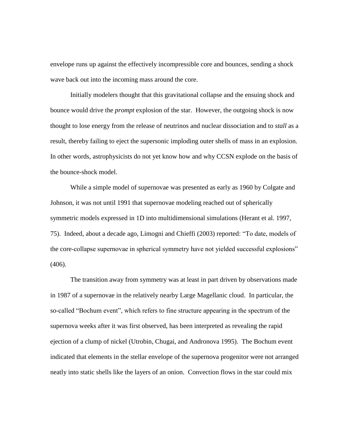envelope runs up against the effectively incompressible core and bounces, sending a shock wave back out into the incoming mass around the core.

Initially modelers thought that this gravitational collapse and the ensuing shock and bounce would drive the *prompt* explosion of the star. However, the outgoing shock is now thought to lose energy from the release of neutrinos and nuclear dissociation and to *stall* as a result, thereby failing to eject the supersonic imploding outer shells of mass in an explosion. In other words, astrophysicists do not yet know how and why CCSN explode on the basis of the bounce-shock model.

While a simple model of supernovae was presented as early as 1960 by Colgate and Johnson, it was not until 1991 that supernovae modeling reached out of spherically symmetric models expressed in 1D into multidimensional simulations (Herant et al. 1997, 75). Indeed, about a decade ago, Limogni and Chieffi (2003) reported: "To date, models of the core-collapse supernovae in spherical symmetry have not yielded successful explosions" (406).

The transition away from symmetry was at least in part driven by observations made in 1987 of a supernovae in the relatively nearby Large Magellanic cloud. In particular, the so-called "Bochum event", which refers to fine structure appearing in the spectrum of the supernova weeks after it was first observed, has been interpreted as revealing the rapid ejection of a clump of nickel (Utrobin, Chugai, and Andronova 1995). The Bochum event indicated that elements in the stellar envelope of the supernova progenitor were not arranged neatly into static shells like the layers of an onion. Convection flows in the star could mix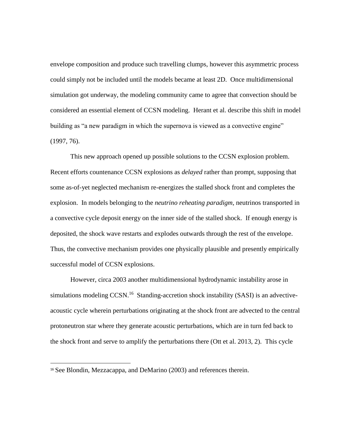envelope composition and produce such travelling clumps, however this asymmetric process could simply not be included until the models became at least 2D. Once multidimensional simulation got underway, the modeling community came to agree that convection should be considered an essential element of CCSN modeling. Herant et al. describe this shift in model building as "a new paradigm in which the supernova is viewed as a convective engine" (1997, 76).

This new approach opened up possible solutions to the CCSN explosion problem. Recent efforts countenance CCSN explosions as *delayed* rather than prompt, supposing that some as-of-yet neglected mechanism re-energizes the stalled shock front and completes the explosion. In models belonging to the *neutrino reheating paradigm*, neutrinos transported in a convective cycle deposit energy on the inner side of the stalled shock. If enough energy is deposited, the shock wave restarts and explodes outwards through the rest of the envelope. Thus, the convective mechanism provides one physically plausible and presently empirically successful model of CCSN explosions.

However, circa 2003 another multidimensional hydrodynamic instability arose in simulations modeling CCSN.<sup>16</sup> Standing-accretion shock instability (SASI) is an advectiveacoustic cycle wherein perturbations originating at the shock front are advected to the central protoneutron star where they generate acoustic perturbations, which are in turn fed back to the shock front and serve to amplify the perturbations there (Ott et al. 2013, 2). This cycle

l

<sup>16</sup> See Blondin, Mezzacappa, and DeMarino (2003) and references therein.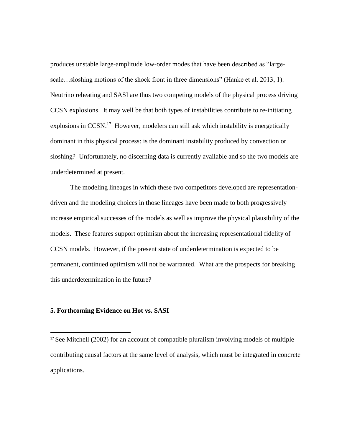produces unstable large-amplitude low-order modes that have been described as "largescale…sloshing motions of the shock front in three dimensions" (Hanke et al. 2013, 1). Neutrino reheating and SASI are thus two competing models of the physical process driving CCSN explosions. It may well be that both types of instabilities contribute to re-initiating explosions in CCSN.<sup>17</sup> However, modelers can still ask which instability is energetically dominant in this physical process: is the dominant instability produced by convection or sloshing? Unfortunately, no discerning data is currently available and so the two models are underdetermined at present.

The modeling lineages in which these two competitors developed are representationdriven and the modeling choices in those lineages have been made to both progressively increase empirical successes of the models as well as improve the physical plausibility of the models. These features support optimism about the increasing representational fidelity of CCSN models. However, if the present state of underdetermination is expected to be permanent, continued optimism will not be warranted. What are the prospects for breaking this underdetermination in the future?

### **5. Forthcoming Evidence on Hot vs. SASI**

 $\overline{a}$ 

<sup>&</sup>lt;sup>17</sup> See Mitchell (2002) for an account of compatible pluralism involving models of multiple contributing causal factors at the same level of analysis, which must be integrated in concrete applications.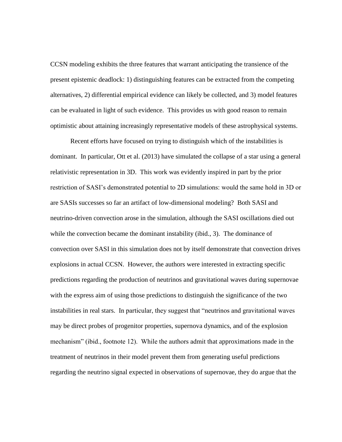CCSN modeling exhibits the three features that warrant anticipating the transience of the present epistemic deadlock: 1) distinguishing features can be extracted from the competing alternatives, 2) differential empirical evidence can likely be collected, and 3) model features can be evaluated in light of such evidence. This provides us with good reason to remain optimistic about attaining increasingly representative models of these astrophysical systems.

Recent efforts have focused on trying to distinguish which of the instabilities is dominant. In particular, Ott et al. (2013) have simulated the collapse of a star using a general relativistic representation in 3D. This work was evidently inspired in part by the prior restriction of SASI's demonstrated potential to 2D simulations: would the same hold in 3D or are SASIs successes so far an artifact of low-dimensional modeling?Both SASI and neutrino-driven convection arose in the simulation, although the SASI oscillations died out while the convection became the dominant instability (ibid., 3). The dominance of convection over SASI in this simulation does not by itself demonstrate that convection drives explosions in actual CCSN. However, the authors were interested in extracting specific predictions regarding the production of neutrinos and gravitational waves during supernovae with the express aim of using those predictions to distinguish the significance of the two instabilities in real stars.In particular, they suggest that "neutrinos and gravitational waves may be direct probes of progenitor properties, supernova dynamics, and of the explosion mechanism" (ibid., footnote 12). While the authors admit that approximations made in the treatment of neutrinos in their model prevent them from generating useful predictions regarding the neutrino signal expected in observations of supernovae, they do argue that the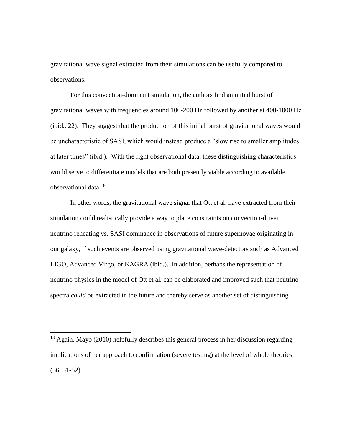gravitational wave signal extracted from their simulations can be usefully compared to observations.

For this convection-dominant simulation, the authors find an initial burst of gravitational waves with frequencies around 100-200 Hz followed by another at 400-1000 Hz (ibid., 22). They suggest that the production of this initial burst of gravitational waves would be uncharacteristic of SASI, which would instead produce a "slow rise to smaller amplitudes at later times" (ibid.). With the right observational data, these distinguishing characteristics would serve to differentiate models that are both presently viable according to available observational data.<sup>18</sup>

In other words, the gravitational wave signal that Ott et al. have extracted from their simulation could realistically provide a way to place constraints on convection-driven neutrino reheating vs. SASI dominance in observations of future supernovae originating in our galaxy, if such events are observed using gravitational wave-detectors such as Advanced LIGO, Advanced Virgo, or KAGRA (ibid.). In addition, perhaps the representation of neutrino physics in the model of Ott et al. can be elaborated and improved such that neutrino spectra *could* be extracted in the future and thereby serve as another set of distinguishing

 $\overline{\phantom{a}}$ 

<sup>18</sup> Again, Mayo (2010) helpfully describes this general process in her discussion regarding implications of her approach to confirmation (severe testing) at the level of whole theories (36, 51-52).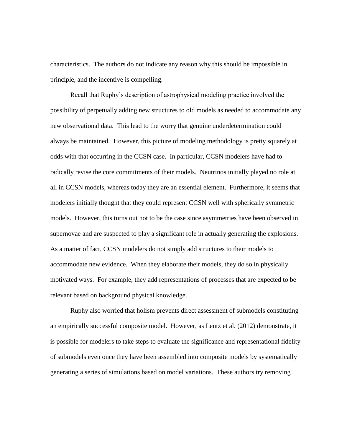characteristics. The authors do not indicate any reason why this should be impossible in principle, and the incentive is compelling.

Recall that Ruphy's description of astrophysical modeling practice involved the possibility of perpetually adding new structures to old models as needed to accommodate any new observational data. This lead to the worry that genuine underdetermination could always be maintained. However, this picture of modeling methodology is pretty squarely at odds with that occurring in the CCSN case. In particular, CCSN modelers have had to radically revise the core commitments of their models. Neutrinos initially played no role at all in CCSN models, whereas today they are an essential element. Furthermore, it seems that modelers initially thought that they could represent CCSN well with spherically symmetric models. However, this turns out not to be the case since asymmetries have been observed in supernovae and are suspected to play a significant role in actually generating the explosions. As a matter of fact, CCSN modelers do not simply add structures to their models to accommodate new evidence. When they elaborate their models, they do so in physically motivated ways. For example, they add representations of processes that are expected to be relevant based on background physical knowledge.

Ruphy also worried that holism prevents direct assessment of submodels constituting an empirically successful composite model. However, as Lentz et al. (2012) demonstrate, it is possible for modelers to take steps to evaluate the significance and representational fidelity of submodels even once they have been assembled into composite models by systematically generating a series of simulations based on model variations. These authors try removing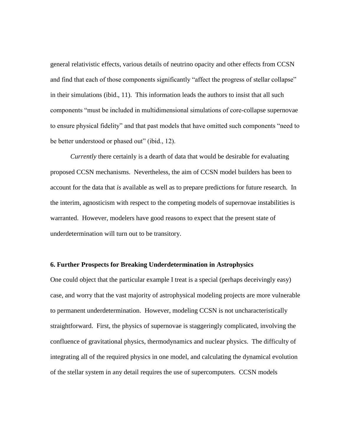general relativistic effects, various details of neutrino opacity and other effects from CCSN and find that each of those components significantly "affect the progress of stellar collapse" in their simulations (ibid., 11). This information leads the authors to insist that all such components "must be included in multidimensional simulations of core-collapse supernovae to ensure physical fidelity" and that past models that have omitted such components "need to be better understood or phased out" (ibid., 12).

*Currently* there certainly is a dearth of data that would be desirable for evaluating proposed CCSN mechanisms. Nevertheless, the aim of CCSN model builders has been to account for the data that *is* available as well as to prepare predictions for future research. In the interim, agnosticism with respect to the competing models of supernovae instabilities is warranted. However, modelers have good reasons to expect that the present state of underdetermination will turn out to be transitory.

### **6. Further Prospects for Breaking Underdetermination in Astrophysics**

One could object that the particular example I treat is a special (perhaps deceivingly easy) case, and worry that the vast majority of astrophysical modeling projects are more vulnerable to permanent underdetermination. However, modeling CCSN is not uncharacteristically straightforward. First, the physics of supernovae is staggeringly complicated, involving the confluence of gravitational physics, thermodynamics and nuclear physics. The difficulty of integrating all of the required physics in one model, and calculating the dynamical evolution of the stellar system in any detail requires the use of supercomputers. CCSN models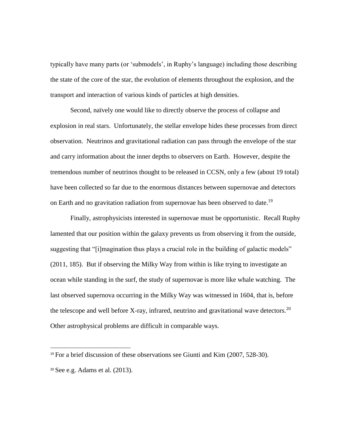typically have many parts (or 'submodels', in Ruphy's language) including those describing the state of the core of the star, the evolution of elements throughout the explosion, and the transport and interaction of various kinds of particles at high densities.

Second, naïvely one would like to directly observe the process of collapse and explosion in real stars. Unfortunately, the stellar envelope hides these processes from direct observation. Neutrinos and gravitational radiation can pass through the envelope of the star and carry information about the inner depths to observers on Earth. However, despite the tremendous number of neutrinos thought to be released in CCSN, only a few (about 19 total) have been collected so far due to the enormous distances between supernovae and detectors on Earth and no gravitation radiation from supernovae has been observed to date.<sup>19</sup>

Finally, astrophysicists interested in supernovae must be opportunistic. Recall Ruphy lamented that our position within the galaxy prevents us from observing it from the outside, suggesting that "[i]magination thus plays a crucial role in the building of galactic models" (2011, 185). But if observing the Milky Way from within is like trying to investigate an ocean while standing in the surf, the study of supernovae is more like whale watching. The last observed supernova occurring in the Milky Way was witnessed in 1604, that is, before the telescope and well before X-ray, infrared, neutrino and gravitational wave detectors.<sup>20</sup> Other astrophysical problems are difficult in comparable ways.

 $\overline{\phantom{a}}$ 

<sup>19</sup> For a brief discussion of these observations see Giunti and Kim (2007, 528-30). <sup>20</sup> See e.g. Adams et al. (2013).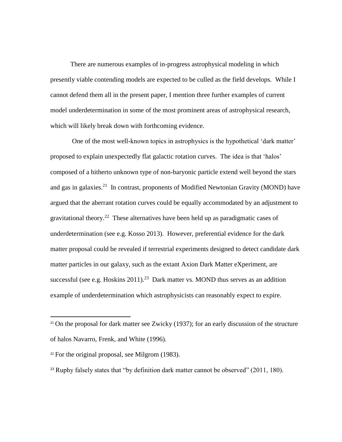There are numerous examples of in-progress astrophysical modeling in which presently viable contending models are expected to be culled as the field develops. While I cannot defend them all in the present paper, I mention three further examples of current model underdetermination in some of the most prominent areas of astrophysical research, which will likely break down with forthcoming evidence.

One of the most well-known topics in astrophysics is the hypothetical 'dark matter' proposed to explain unexpectedly flat galactic rotation curves. The idea is that 'halos' composed of a hitherto unknown type of non-baryonic particle extend well beyond the stars and gas in galaxies.<sup>21</sup> In contrast, proponents of Modified Newtonian Gravity (MOND) have argued that the aberrant rotation curves could be equally accommodated by an adjustment to gravitational theory.<sup>22</sup> These alternatives have been held up as paradigmatic cases of underdetermination (see e.g. Kosso 2013). However, preferential evidence for the dark matter proposal could be revealed if terrestrial experiments designed to detect candidate dark matter particles in our galaxy, such as the extant Axion Dark Matter eXperiment, are successful (see e.g. Hoskins  $2011$ ).<sup>23</sup> Dark matter vs. MOND thus serves as an addition example of underdetermination which astrophysicists can reasonably expect to expire.

 $\overline{\phantom{a}}$ 

 $21$  On the proposal for dark matter see Zwicky (1937); for an early discussion of the structure of halos Navarro, Frenk, and White (1996).

 $22$  For the original proposal, see Milgrom (1983).

<sup>&</sup>lt;sup>23</sup> Ruphy falsely states that "by definition dark matter cannot be observed" (2011, 180).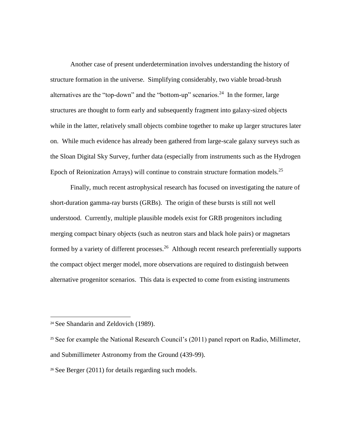Another case of present underdetermination involves understanding the history of structure formation in the universe. Simplifying considerably, two viable broad-brush alternatives are the "top-down" and the "bottom-up" scenarios.<sup>24</sup> In the former, large structures are thought to form early and subsequently fragment into galaxy-sized objects while in the latter, relatively small objects combine together to make up larger structures later on. While much evidence has already been gathered from large-scale galaxy surveys such as the Sloan Digital Sky Survey, further data (especially from instruments such as the Hydrogen Epoch of Reionization Arrays) will continue to constrain structure formation models.<sup>25</sup>

Finally, much recent astrophysical research has focused on investigating the nature of short-duration gamma-ray bursts (GRBs). The origin of these bursts is still not well understood. Currently, multiple plausible models exist for GRB progenitors including merging compact binary objects (such as neutron stars and black hole pairs) or magnetars formed by a variety of different processes.<sup>26</sup> Although recent research preferentially supports the compact object merger model, more observations are required to distinguish between alternative progenitor scenarios. This data is expected to come from existing instruments

 $\overline{a}$ 

<sup>&</sup>lt;sup>24</sup> See Shandarin and Zeldovich (1989).

<sup>&</sup>lt;sup>25</sup> See for example the National Research Council's (2011) panel report on Radio, Millimeter, and Submillimeter Astronomy from the Ground (439-99).

<sup>&</sup>lt;sup>26</sup> See Berger (2011) for details regarding such models.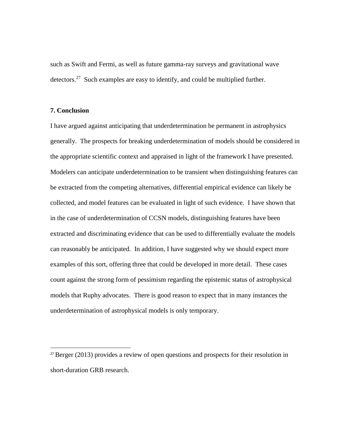such as Swift and Fermi, as well as future gamma-ray surveys and gravitational wave detectors.<sup>27</sup> Such examples are easy to identify, and could be multiplied further.

## **7. Conclusion**

 $\overline{\phantom{a}}$ 

I have argued against anticipating that underdetermination be permanent in astrophysics generally. The prospects for breaking underdetermination of models should be considered in the appropriate scientific context and appraised in light of the framework I have presented. Modelers can anticipate underdetermination to be transient when distinguishing features can be extracted from the competing alternatives, differential empirical evidence can likely be collected, and model features can be evaluated in light of such evidence. I have shown that in the case of underdetermination of CCSN models, distinguishing features have been extracted and discriminating evidence that can be used to differentially evaluate the models can reasonably be anticipated. In addition, I have suggested why we should expect more examples of this sort, offering three that could be developed in more detail. These cases count against the strong form of pessimism regarding the epistemic status of astrophysical models that Ruphy advocates. There is good reason to expect that in many instances the underdetermination of astrophysical models is only temporary.

<sup>&</sup>lt;sup>27</sup> Berger (2013) provides a review of open questions and prospects for their resolution in short-duration GRB research.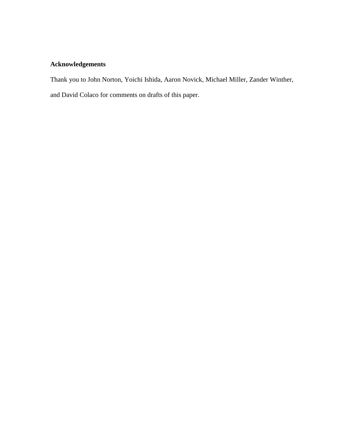# **Acknowledgements**

Thank you to John Norton, Yoichi Ishida, Aaron Novick, Michael Miller, Zander Winther, and David Colaco for comments on drafts of this paper.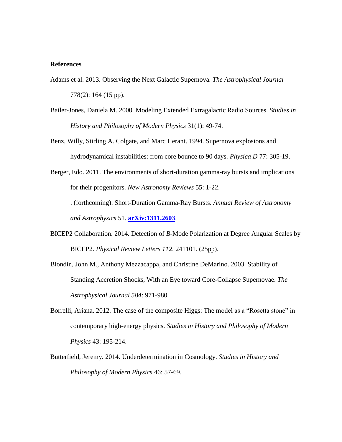## **References**

- Adams et al. 2013. Observing the Next Galactic Supernova. *The Astrophysical Journal* 778(2): 164 (15 pp).
- Bailer-Jones, Daniela M. 2000. Modeling Extended Extragalactic Radio Sources. *Studies in History and Philosophy of Modern Physics* 31(1): 49-74.
- Benz, Willy, Stirling A. Colgate, and Marc Herant. 1994. Supernova explosions and hydrodynamical instabilities: from core bounce to 90 days. *Physica D* 77: 305-19.
- Berger, Edo. 2011. The environments of short-duration gamma-ray bursts and implications for their progenitors. *New Astronomy Reviews* 55: 1-22.
- ———. (forthcoming). Short-Duration Gamma-Ray Bursts. *Annual Review of Astronomy and Astrophysics* 51. **[arXiv:1311.2603](http://arxiv.org/abs/1311.2603)**.
- BICEP2 Collaboration. 2014. Detection of *B*-Mode Polarization at Degree Angular Scales by BICEP2. *Physical Review Letters 112,* 241101. (25pp).
- Blondin, John M., Anthony Mezzacappa, and Christine DeMarino. 2003. Stability of Standing Accretion Shocks, With an Eye toward Core-Collapse Supernovae. *The Astrophysical Journal 584*: 971-980.
- Borrelli, Ariana. 2012. The case of the composite Higgs: The model as a "Rosetta stone" in contemporary high-energy physics. *Studies in History and Philosophy of Modern Physics* 43: 195-214.
- Butterfield, Jeremy. 2014. Underdetermination in Cosmology. *Studies in History and Philosophy of Modern Physics* 46: 57-69.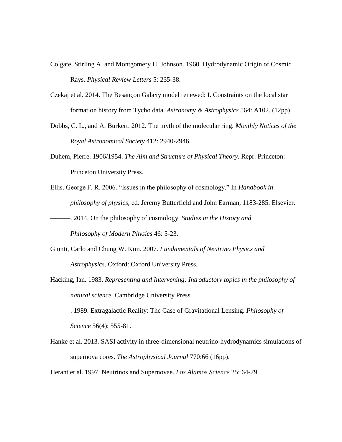- Colgate, Stirling A. and Montgomery H. Johnson. 1960. Hydrodynamic Origin of Cosmic Rays. *Physical Review Letters* 5: 235-38.
- Czekaj et al. 2014. The Besançon Galaxy model renewed: I. Constraints on the local star formation history from Tycho data. *Astronomy & Astrophysics* 564: A102. (12pp).
- Dobbs, C. L., and A. Burkert. 2012. The myth of the molecular ring. *Monthly Notices of the Royal Astronomical Society* 412: 2940-2946.
- Duhem, Pierre. 1906/1954. *The Aim and Structure of Physical Theory*. Repr. Princeton: Princeton University Press.
- Ellis, George F. R. 2006. "Issues in the philosophy of cosmology." In *Handbook in philosophy of physics,* ed. Jeremy Butterfield and John Earman, 1183-285. Elsevier.

———. 2014. On the philosophy of cosmology. *Studies in the History and Philosophy of Modern Physics* 46: 5-23.

- Giunti, Carlo and Chung W. Kim. 2007. *Fundamentals of Neutrino Physics and Astrophysics*. Oxford: Oxford University Press.
- Hacking, Ian. 1983. *Representing and Intervening: Introductory topics in the philosophy of natural science.* Cambridge University Press.
- ———. 1989. Extragalactic Reality: The Case of Gravitational Lensing. *Philosophy of Science* 56(4): 555-81.
- Hanke et al. 2013. SASI activity in three-dimensional neutrino-hydrodynamics simulations of supernova cores. *The Astrophysical Journal* 770:66 (16pp).

Herant et al. 1997. Neutrinos and Supernovae. *Los Alamos Science* 25: 64-79.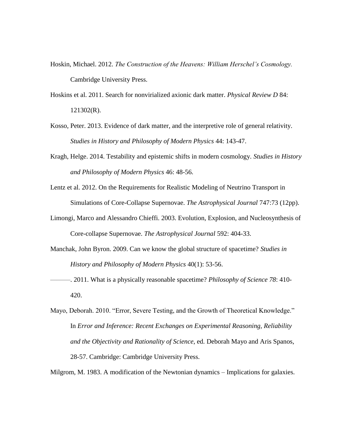- Hoskin, Michael. 2012. *The Construction of the Heavens: William Herschel's Cosmology.* Cambridge University Press.
- Hoskins et al. 2011. Search for nonvirialized axionic dark matter. *Physical Review D* 84: 121302(R).
- Kosso, Peter. 2013. Evidence of dark matter, and the interpretive role of general relativity. *Studies in History and Philosophy of Modern Physics* 44: 143-47.
- Kragh, Helge. 2014. Testability and epistemic shifts in modern cosmology. *Studies in History and Philosophy of Modern Physics* 46: 48-56.
- Lentz et al. 2012. On the Requirements for Realistic Modeling of Neutrino Transport in Simulations of Core-Collapse Supernovae. *The Astrophysical Journal* 747:73 (12pp).
- Limongi, Marco and Alessandro Chieffi. 2003. Evolution, Explosion, and Nucleosynthesis of Core-collapse Supernovae. *The Astrophysical Journal* 592: 404-33.
- Manchak, John Byron. 2009. Can we know the global structure of spacetime? *Studies in History and Philosophy of Modern Physics* 40(1): 53-56.
- ———. 2011. What is a physically reasonable spacetime? *Philosophy of Science 78*: 410- 420.
- Mayo, Deborah. 2010. "Error, Severe Testing, and the Growth of Theoretical Knowledge." In *Error and Inference: Recent Exchanges on Experimental Reasoning, Reliability and the Objectivity and Rationality of Science*, ed. Deborah Mayo and Aris Spanos, 28-57. Cambridge: Cambridge University Press.

Milgrom, M. 1983. A modification of the Newtonian dynamics – Implications for galaxies.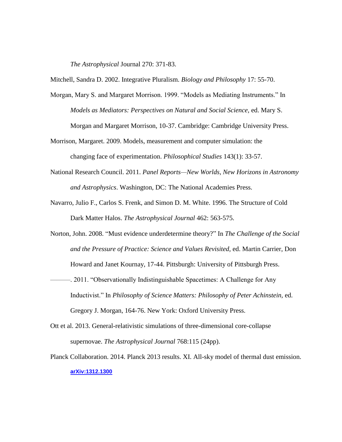*The Astrophysical* Journal 270: 371-83.

Mitchell, Sandra D. 2002. Integrative Pluralism. *Biology and Philosophy* 17: 55-70.

Morgan, Mary S. and Margaret Morrison. 1999. "Models as Mediating Instruments." In *Models as Mediators: Perspectives on Natural and Social Science,* ed. Mary S.

Morgan and Margaret Morrison, 10-37. Cambridge: Cambridge University Press.

- Morrison, Margaret. 2009. Models, measurement and computer simulation: the changing face of experimentation. *Philosophical Studies* 143(1): 33-57.
- National Research Council. 2011. *Panel Reports—New Worlds, New Horizons in Astronomy and Astrophysics*. Washington, DC: The National Academies Press.
- Navarro, Julio F., Carlos S. Frenk, and Simon D. M. White. 1996. The Structure of Cold Dark Matter Halos. *The Astrophysical Journal* 462: 563-575.
- Norton, John. 2008. "Must evidence underdetermine theory?" In *The Challenge of the Social and the Pressure of Practice: Science and Values Revisited,* ed. Martin Carrier, Don Howard and Janet Kournay, 17-44. Pittsburgh: University of Pittsburgh Press.
- ———. 2011. "Observationally Indistinguishable Spacetimes: A Challenge for Any Inductivist." In *Philosophy of Science Matters: Philosophy of Peter Achinstein,* ed. Gregory J. Morgan, 164-76. New York: Oxford University Press.
- Ott et al. 2013. General-relativistic simulations of three-dimensional core-collapse supernovae. *The Astrophysical Journal* 768:115 (24pp).
- Planck Collaboration. 2014. Planck 2013 results. XI. All-sky model of thermal dust emission. **[arXiv:1312.1300](http://arxiv.org/abs/1312.1300)**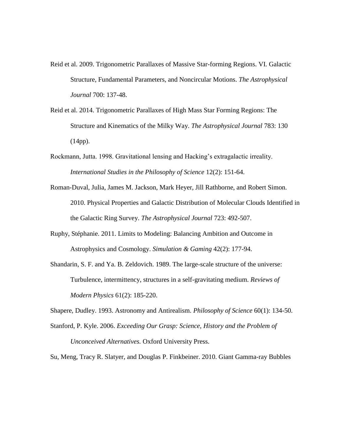- Reid et al. 2009. Trigonometric Parallaxes of Massive Star-forming Regions. VI. Galactic Structure, Fundamental Parameters, and Noncircular Motions. *The Astrophysical Journal* 700: 137-48.
- Reid et al. 2014. Trigonometric Parallaxes of High Mass Star Forming Regions: The Structure and Kinematics of the Milky Way. *The Astrophysical Journal* 783: 130 (14pp).
- Rockmann, Jutta. 1998. Gravitational lensing and Hacking's extragalactic irreality. *International Studies in the Philosophy of Science* 12(2): 151-64.
- Roman-Duval, Julia, James M. Jackson, Mark Heyer, Jill Rathborne, and Robert Simon. 2010. Physical Properties and Galactic Distribution of Molecular Clouds Identified in the Galactic Ring Survey. *The Astrophysical Journal* 723: 492-507.
- Ruphy, Stéphanie. 2011. Limits to Modeling: Balancing Ambition and Outcome in Astrophysics and Cosmology. *Simulation & Gaming* 42(2): 177-94.
- Shandarin, S. F. and Ya. B. Zeldovich. 1989. The large-scale structure of the universe: Turbulence, intermittency, structures in a self-gravitating medium. *Reviews of Modern Physics* 61(2): 185-220.

Shapere, Dudley. 1993. Astronomy and Antirealism. *Philosophy of Science* 60(1): 134-50.

Stanford, P. Kyle. 2006. *Exceeding Our Grasp: Science, History and the Problem of Unconceived Alternatives.* Oxford University Press.

Su, Meng, Tracy R. Slatyer, and Douglas P. Finkbeiner. 2010. Giant Gamma-ray Bubbles